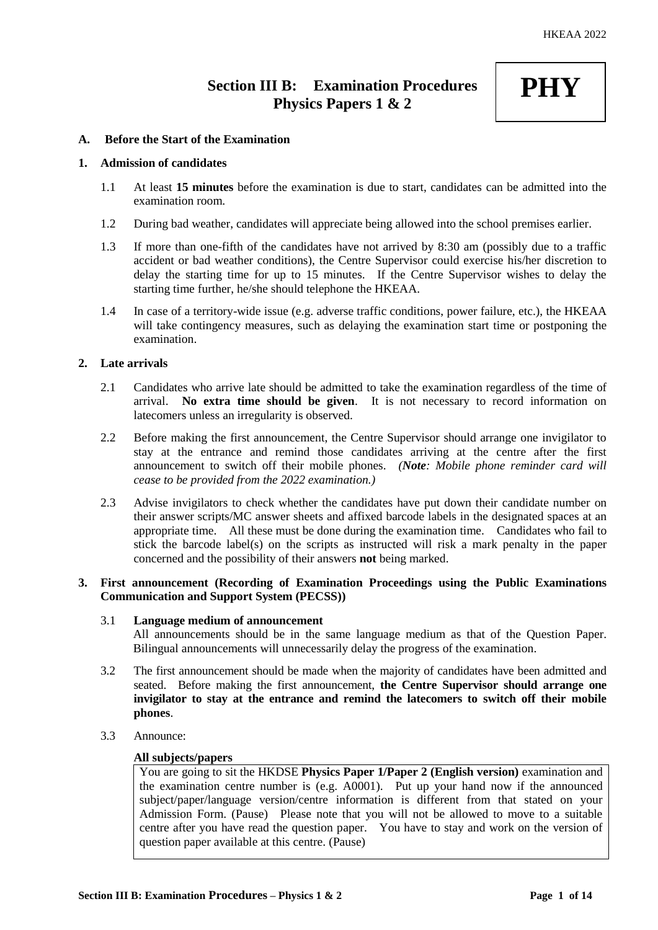# **Section III B: Examination Procedures Physics Papers 1 & 2**

# **PHY**

# **A. Before the Start of the Examination**

# **1. Admission of candidates**

- 1.1 At least **15 minutes** before the examination is due to start, candidates can be admitted into the examination room.
- 1.2 During bad weather, candidates will appreciate being allowed into the school premises earlier.
- 1.3 If more than one-fifth of the candidates have not arrived by 8:30 am (possibly due to a traffic accident or bad weather conditions), the Centre Supervisor could exercise his/her discretion to delay the starting time for up to 15 minutes. If the Centre Supervisor wishes to delay the starting time further, he/she should telephone the HKEAA.
- 1.4 In case of a territory-wide issue (e.g. adverse traffic conditions, power failure, etc.), the HKEAA will take contingency measures, such as delaying the examination start time or postponing the examination.

# **2. Late arrivals**

- 2.1 Candidates who arrive late should be admitted to take the examination regardless of the time of arrival. **No extra time should be given**. It is not necessary to record information on latecomers unless an irregularity is observed.
- 2.2 Before making the first announcement, the Centre Supervisor should arrange one invigilator to stay at the entrance and remind those candidates arriving at the centre after the first announcement to switch off their mobile phones. *(Note: Mobile phone reminder card will cease to be provided from the 2022 examination.)*
- 2.3 Advise invigilators to check whether the candidates have put down their candidate number on their answer scripts/MC answer sheets and affixed barcode labels in the designated spaces at an appropriate time. All these must be done during the examination time. Candidates who fail to stick the barcode label(s) on the scripts as instructed will risk a mark penalty in the paper concerned and the possibility of their answers **not** being marked.

# **3. First announcement (Recording of Examination Proceedings using the Public Examinations Communication and Support System (PECSS))**

#### 3.1 **Language medium of announcement**

All announcements should be in the same language medium as that of the Question Paper. Bilingual announcements will unnecessarily delay the progress of the examination.

- 3.2 The first announcement should be made when the majority of candidates have been admitted and seated. Before making the first announcement, **the Centre Supervisor should arrange one invigilator to stay at the entrance and remind the latecomers to switch off their mobile phones**.
- 3.3 Announce:

#### **All subjects/papers**

You are going to sit the HKDSE **Physics Paper 1/Paper 2 (English version)** examination and the examination centre number is (e.g. A0001). Put up your hand now if the announced subject/paper/language version/centre information is different from that stated on your Admission Form. (Pause) Please note that you will not be allowed to move to a suitable centre after you have read the question paper. You have to stay and work on the version of question paper available at this centre. (Pause)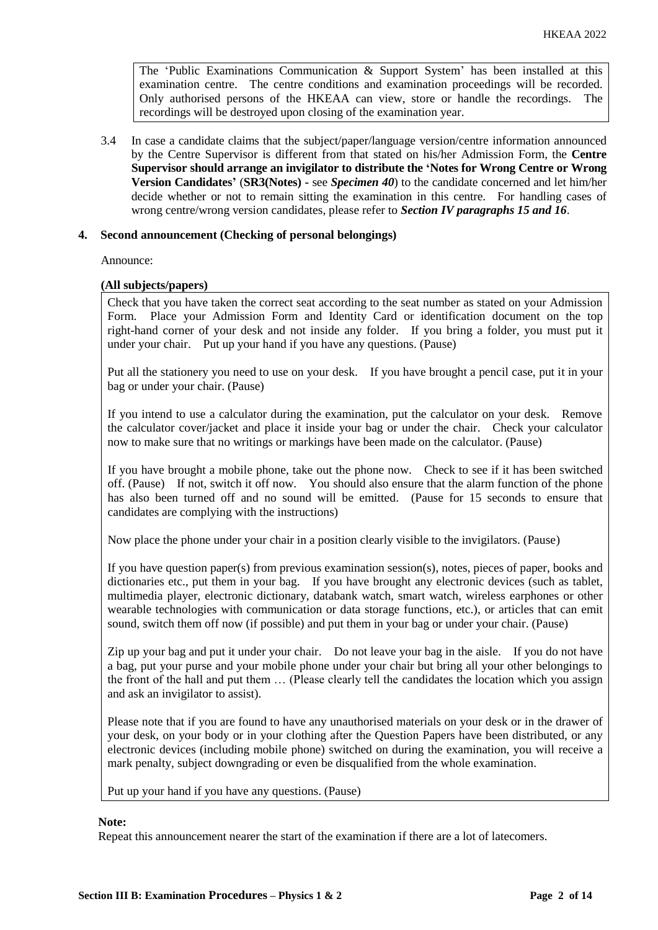The 'Public Examinations Communication  $\&$  Support System' has been installed at this examination centre. The centre conditions and examination proceedings will be recorded. Only authorised persons of the HKEAA can view, store or handle the recordings. The recordings will be destroyed upon closing of the examination year.

3.4 In case a candidate claims that the subject/paper/language version/centre information announced by the Centre Supervisor is different from that stated on his/her Admission Form, the **Centre Supervisor should arrange an invigilator to distribute the 'Notes for Wrong Centre or Wrong Version Candidates'** (**SR3(Notes) -** see *Specimen 40*) to the candidate concerned and let him/her decide whether or not to remain sitting the examination in this centre. For handling cases of wrong centre/wrong version candidates, please refer to *Section IV paragraphs 15 and 16*.

# **4. Second announcement (Checking of personal belongings)**

Announce:

#### **(All subjects/papers)**

Check that you have taken the correct seat according to the seat number as stated on your Admission Form. Place your Admission Form and Identity Card or identification document on the top right-hand corner of your desk and not inside any folder. If you bring a folder, you must put it under your chair. Put up your hand if you have any questions. (Pause)

Put all the stationery you need to use on your desk. If you have brought a pencil case, put it in your bag or under your chair. (Pause)

If you intend to use a calculator during the examination, put the calculator on your desk. Remove the calculator cover/jacket and place it inside your bag or under the chair. Check your calculator now to make sure that no writings or markings have been made on the calculator. (Pause)

If you have brought a mobile phone, take out the phone now. Check to see if it has been switched off. (Pause) If not, switch it off now. You should also ensure that the alarm function of the phone has also been turned off and no sound will be emitted. (Pause for 15 seconds to ensure that candidates are complying with the instructions)

Now place the phone under your chair in a position clearly visible to the invigilators. (Pause)

If you have question paper(s) from previous examination session(s), notes, pieces of paper, books and dictionaries etc., put them in your bag. If you have brought any electronic devices (such as tablet, multimedia player, electronic dictionary, databank watch, smart watch, wireless earphones or other wearable technologies with communication or data storage functions, etc.), or articles that can emit sound, switch them off now (if possible) and put them in your bag or under your chair. (Pause)

Zip up your bag and put it under your chair. Do not leave your bag in the aisle. If you do not have a bag, put your purse and your mobile phone under your chair but bring all your other belongings to the front of the hall and put them … (Please clearly tell the candidates the location which you assign and ask an invigilator to assist).

Please note that if you are found to have any unauthorised materials on your desk or in the drawer of your desk, on your body or in your clothing after the Question Papers have been distributed, or any electronic devices (including mobile phone) switched on during the examination, you will receive a mark penalty, subject downgrading or even be disqualified from the whole examination.

Put up your hand if you have any questions. (Pause)

#### **Note:**

Repeat this announcement nearer the start of the examination if there are a lot of latecomers.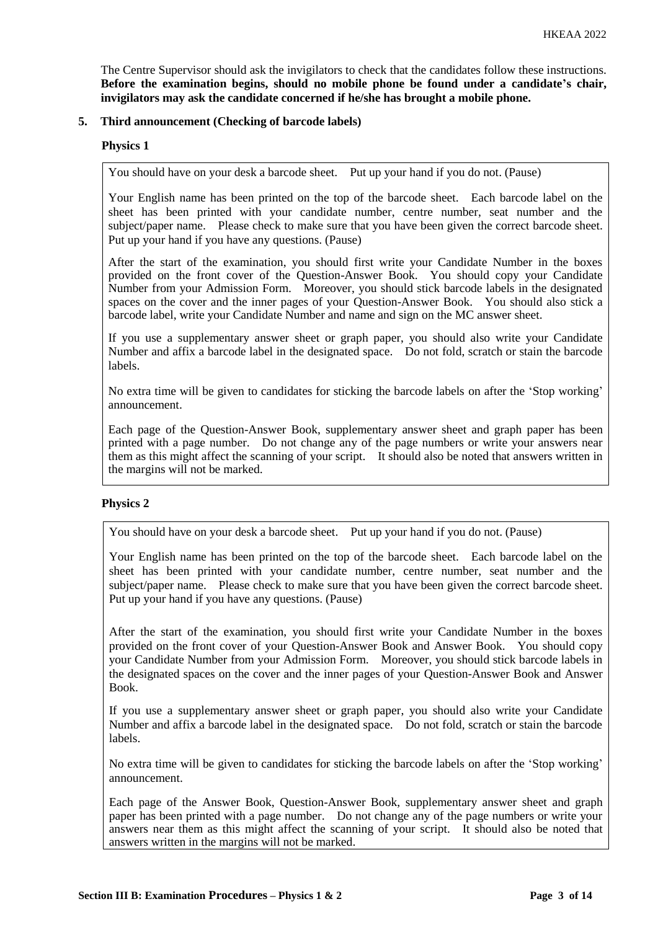The Centre Supervisor should ask the invigilators to check that the candidates follow these instructions. **Before the examination begins, should no mobile phone be found under a candidate's chair, invigilators may ask the candidate concerned if he/she has brought a mobile phone.**

# **5. Third announcement (Checking of barcode labels)**

# **Physics 1**

You should have on your desk a barcode sheet. Put up your hand if you do not. (Pause)

Your English name has been printed on the top of the barcode sheet. Each barcode label on the sheet has been printed with your candidate number, centre number, seat number and the subject/paper name. Please check to make sure that you have been given the correct barcode sheet. Put up your hand if you have any questions. (Pause)

After the start of the examination, you should first write your Candidate Number in the boxes provided on the front cover of the Question-Answer Book. You should copy your Candidate Number from your Admission Form. Moreover, you should stick barcode labels in the designated spaces on the cover and the inner pages of your Question-Answer Book. You should also stick a barcode label, write your Candidate Number and name and sign on the MC answer sheet.

If you use a supplementary answer sheet or graph paper, you should also write your Candidate Number and affix a barcode label in the designated space. Do not fold, scratch or stain the barcode labels.

No extra time will be given to candidates for sticking the barcode labels on after the 'Stop working' announcement.

Each page of the Question-Answer Book, supplementary answer sheet and graph paper has been printed with a page number. Do not change any of the page numbers or write your answers near them as this might affect the scanning of your script. It should also be noted that answers written in the margins will not be marked.

# **Physics 2**

You should have on your desk a barcode sheet. Put up your hand if you do not. (Pause)

Your English name has been printed on the top of the barcode sheet. Each barcode label on the sheet has been printed with your candidate number, centre number, seat number and the subject/paper name. Please check to make sure that you have been given the correct barcode sheet. Put up your hand if you have any questions. (Pause)

After the start of the examination, you should first write your Candidate Number in the boxes provided on the front cover of your Question-Answer Book and Answer Book. You should copy your Candidate Number from your Admission Form. Moreover, you should stick barcode labels in the designated spaces on the cover and the inner pages of your Question-Answer Book and Answer Book.

If you use a supplementary answer sheet or graph paper, you should also write your Candidate Number and affix a barcode label in the designated space. Do not fold, scratch or stain the barcode labels.

No extra time will be given to candidates for sticking the barcode labels on after the 'Stop working' announcement.

Each page of the Answer Book, Question-Answer Book, supplementary answer sheet and graph paper has been printed with a page number. Do not change any of the page numbers or write your answers near them as this might affect the scanning of your script. It should also be noted that answers written in the margins will not be marked.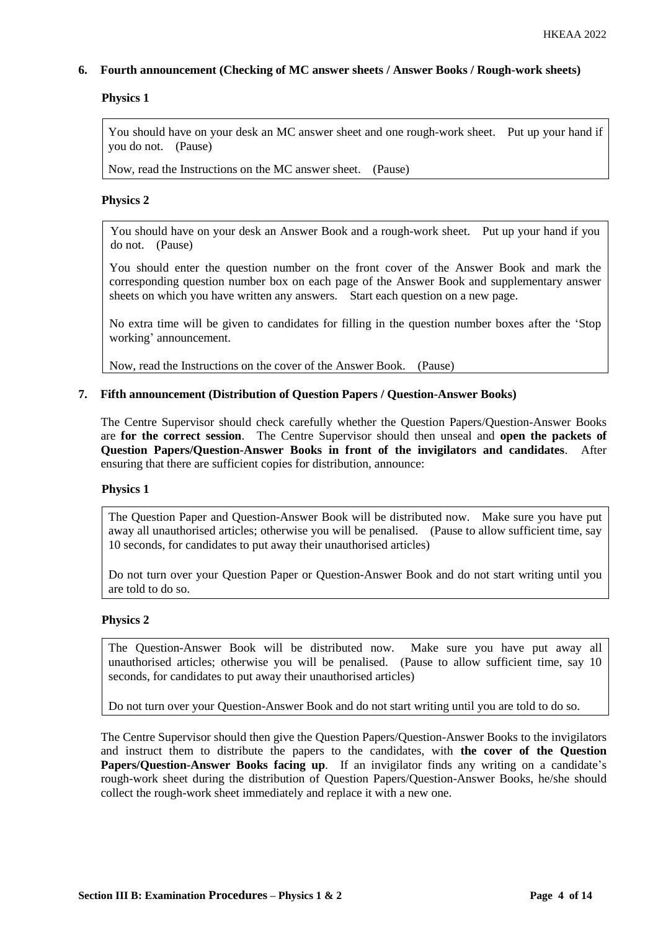# **6. Fourth announcement (Checking of MC answer sheets / Answer Books / Rough-work sheets)**

# **Physics 1**

You should have on your desk an MC answer sheet and one rough-work sheet. Put up your hand if you do not. (Pause)

Now, read the Instructions on the MC answer sheet. (Pause)

# **Physics 2**

You should have on your desk an Answer Book and a rough-work sheet. Put up your hand if you do not. (Pause)

You should enter the question number on the front cover of the Answer Book and mark the corresponding question number box on each page of the Answer Book and supplementary answer sheets on which you have written any answers. Start each question on a new page.

No extra time will be given to candidates for filling in the question number boxes after the 'Stop working' announcement.

Now, read the Instructions on the cover of the Answer Book. (Pause)

# **7. Fifth announcement (Distribution of Question Papers / Question-Answer Books)**

The Centre Supervisor should check carefully whether the Question Papers/Question-Answer Books are **for the correct session**. The Centre Supervisor should then unseal and **open the packets of Question Papers/Question-Answer Books in front of the invigilators and candidates**. After ensuring that there are sufficient copies for distribution, announce:

# **Physics 1**

The Question Paper and Question-Answer Book will be distributed now. Make sure you have put away all unauthorised articles; otherwise you will be penalised. (Pause to allow sufficient time, say 10 seconds, for candidates to put away their unauthorised articles)

Do not turn over your Question Paper or Question-Answer Book and do not start writing until you are told to do so.

# **Physics 2**

The Question-Answer Book will be distributed now. Make sure you have put away all unauthorised articles; otherwise you will be penalised. (Pause to allow sufficient time, say 10 seconds, for candidates to put away their unauthorised articles)

Do not turn over your Question-Answer Book and do not start writing until you are told to do so.

The Centre Supervisor should then give the Question Papers/Question-Answer Books to the invigilators and instruct them to distribute the papers to the candidates, with **the cover of the Question Papers/Question-Answer Books facing up**. If an invigilator finds any writing on a candidate's rough-work sheet during the distribution of Question Papers/Question-Answer Books, he/she should collect the rough-work sheet immediately and replace it with a new one.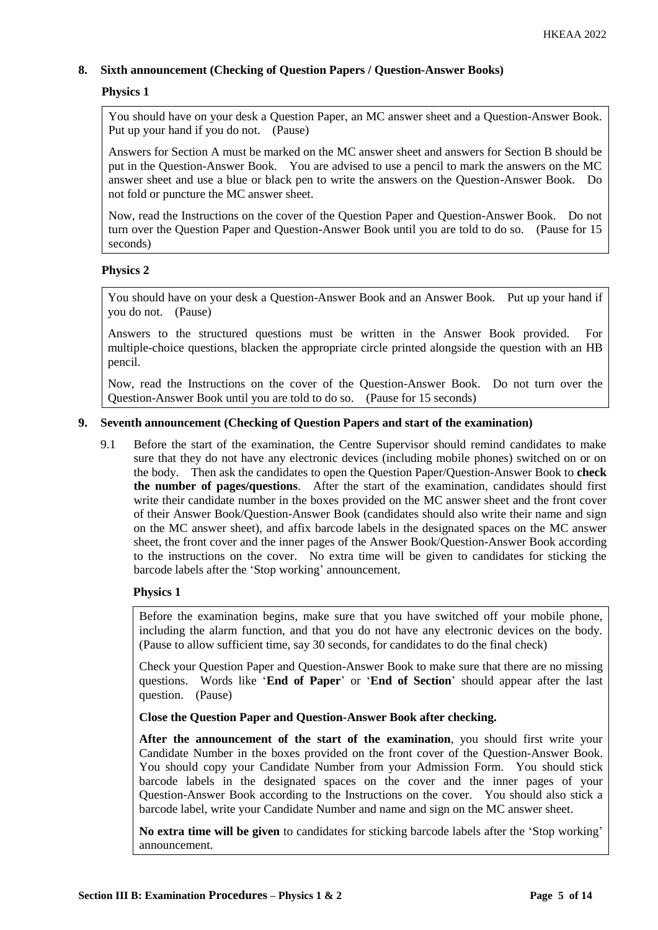# **8. Sixth announcement (Checking of Question Papers / Question-Answer Books)**

# **Physics 1**

You should have on your desk a Question Paper, an MC answer sheet and a Question-Answer Book. Put up your hand if you do not. (Pause)

Answers for Section A must be marked on the MC answer sheet and answers for Section B should be put in the Question-Answer Book. You are advised to use a pencil to mark the answers on the MC answer sheet and use a blue or black pen to write the answers on the Question-Answer Book. Do not fold or puncture the MC answer sheet.

Now, read the Instructions on the cover of the Question Paper and Question-Answer Book. Do not turn over the Question Paper and Question-Answer Book until you are told to do so. (Pause for 15 seconds)

# **Physics 2**

You should have on your desk a Question-Answer Book and an Answer Book. Put up your hand if you do not. (Pause)

Answers to the structured questions must be written in the Answer Book provided. For multiple-choice questions, blacken the appropriate circle printed alongside the question with an HB pencil.

Now, read the Instructions on the cover of the Question-Answer Book. Do not turn over the Question-Answer Book until you are told to do so. (Pause for 15 seconds)

# **9. Seventh announcement (Checking of Question Papers and start of the examination)**

9.1 Before the start of the examination, the Centre Supervisor should remind candidates to make sure that they do not have any electronic devices (including mobile phones) switched on or on the body. Then ask the candidates to open the Question Paper/Question-Answer Book to **check the number of pages/questions**. After the start of the examination, candidates should first write their candidate number in the boxes provided on the MC answer sheet and the front cover of their Answer Book/Question-Answer Book (candidates should also write their name and sign on the MC answer sheet), and affix barcode labels in the designated spaces on the MC answer sheet, the front cover and the inner pages of the Answer Book/Question-Answer Book according to the instructions on the cover. No extra time will be given to candidates for sticking the barcode labels after the 'Stop working' announcement.

# **Physics 1**

Before the examination begins, make sure that you have switched off your mobile phone, including the alarm function, and that you do not have any electronic devices on the body. (Pause to allow sufficient time, say 30 seconds, for candidates to do the final check)

Check your Question Paper and Question-Answer Book to make sure that there are no missing questions. Words like '**End of Paper**' or '**End of Section**' should appear after the last question. (Pause)

**Close the Question Paper and Question-Answer Book after checking.**

**After the announcement of the start of the examination**, you should first write your Candidate Number in the boxes provided on the front cover of the Question-Answer Book. You should copy your Candidate Number from your Admission Form. You should stick barcode labels in the designated spaces on the cover and the inner pages of your Question-Answer Book according to the Instructions on the cover. You should also stick a barcode label, write your Candidate Number and name and sign on the MC answer sheet.

**No extra time will be given** to candidates for sticking barcode labels after the 'Stop working' announcement.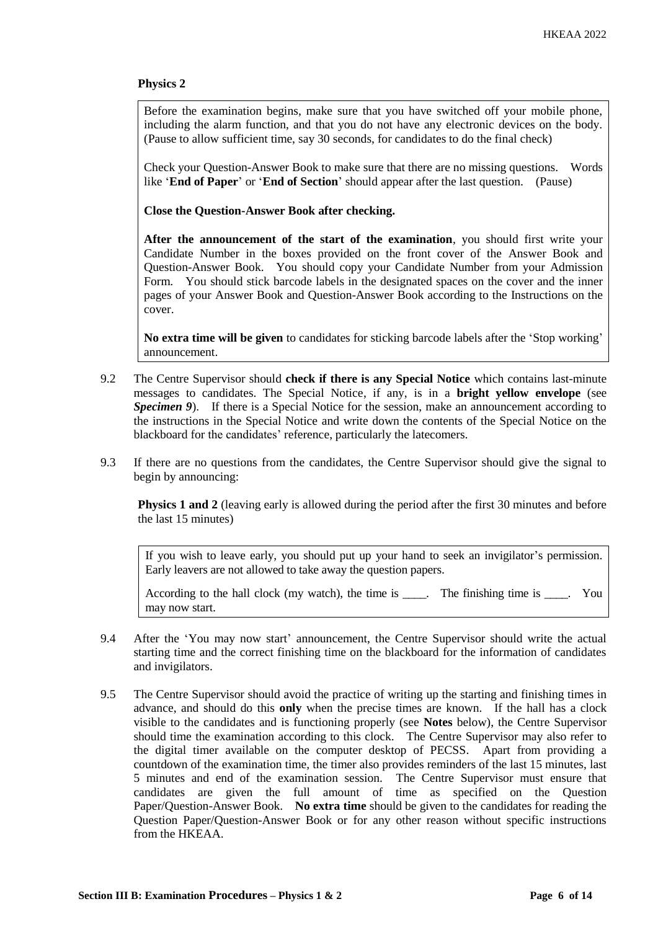# **Physics 2**

Before the examination begins, make sure that you have switched off your mobile phone, including the alarm function, and that you do not have any electronic devices on the body. (Pause to allow sufficient time, say 30 seconds, for candidates to do the final check)

Check your Question-Answer Book to make sure that there are no missing questions. Words like '**End of Paper**' or '**End of Section**' should appear after the last question. (Pause)

**Close the Question-Answer Book after checking.**

**After the announcement of the start of the examination**, you should first write your Candidate Number in the boxes provided on the front cover of the Answer Book and Question-Answer Book. You should copy your Candidate Number from your Admission Form. You should stick barcode labels in the designated spaces on the cover and the inner pages of your Answer Book and Question-Answer Book according to the Instructions on the cover.

**No extra time will be given** to candidates for sticking barcode labels after the 'Stop working' announcement.

- 9.2 The Centre Supervisor should **check if there is any Special Notice** which contains last-minute messages to candidates. The Special Notice, if any, is in a **bright yellow envelope** (see *Specimen 9*). If there is a Special Notice for the session, make an announcement according to the instructions in the Special Notice and write down the contents of the Special Notice on the blackboard for the candidates' reference, particularly the latecomers.
- 9.3 If there are no questions from the candidates, the Centre Supervisor should give the signal to begin by announcing:

**Physics 1 and 2** (leaving early is allowed during the period after the first 30 minutes and before the last 15 minutes)

If you wish to leave early, you should put up your hand to seek an invigilator's permission. Early leavers are not allowed to take away the question papers.

According to the hall clock (my watch), the time is \_\_\_\_. The finishing time is \_\_\_\_. You may now start.

- 9.4 After the 'You may now start' announcement, the Centre Supervisor should write the actual starting time and the correct finishing time on the blackboard for the information of candidates and invigilators.
- 9.5 The Centre Supervisor should avoid the practice of writing up the starting and finishing times in advance, and should do this **only** when the precise times are known. If the hall has a clock visible to the candidates and is functioning properly (see **Notes** below), the Centre Supervisor should time the examination according to this clock. The Centre Supervisor may also refer to the digital timer available on the computer desktop of PECSS. Apart from providing a countdown of the examination time, the timer also provides reminders of the last 15 minutes, last 5 minutes and end of the examination session. The Centre Supervisor must ensure that candidates are given the full amount of time as specified on the Question Paper/Question-Answer Book. **No extra time** should be given to the candidates for reading the Question Paper/Question-Answer Book or for any other reason without specific instructions from the HKEAA.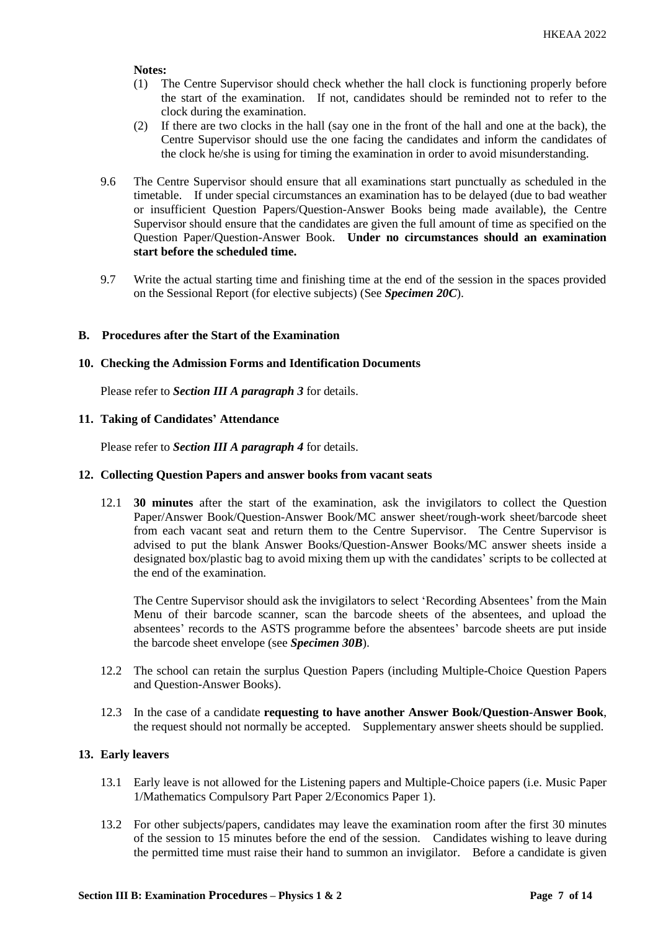#### **Notes:**

- (1) The Centre Supervisor should check whether the hall clock is functioning properly before the start of the examination. If not, candidates should be reminded not to refer to the clock during the examination.
- (2) If there are two clocks in the hall (say one in the front of the hall and one at the back), the Centre Supervisor should use the one facing the candidates and inform the candidates of the clock he/she is using for timing the examination in order to avoid misunderstanding.
- 9.6 The Centre Supervisor should ensure that all examinations start punctually as scheduled in the timetable. If under special circumstances an examination has to be delayed (due to bad weather or insufficient Question Papers/Question-Answer Books being made available), the Centre Supervisor should ensure that the candidates are given the full amount of time as specified on the Question Paper/Question-Answer Book. **Under no circumstances should an examination start before the scheduled time.**
- 9.7 Write the actual starting time and finishing time at the end of the session in the spaces provided on the Sessional Report (for elective subjects) (See *Specimen 20C*).

#### **B. Procedures after the Start of the Examination**

#### **10. Checking the Admission Forms and Identification Documents**

Please refer to *Section III A paragraph 3* for details.

#### **11. Taking of Candidates' Attendance**

Please refer to *Section III A paragraph 4* for details.

#### **12. Collecting Question Papers and answer books from vacant seats**

12.1 **30 minutes** after the start of the examination, ask the invigilators to collect the Question Paper/Answer Book/Question-Answer Book/MC answer sheet/rough-work sheet/barcode sheet from each vacant seat and return them to the Centre Supervisor. The Centre Supervisor is advised to put the blank Answer Books/Question-Answer Books/MC answer sheets inside a designated box/plastic bag to avoid mixing them up with the candidates' scripts to be collected at the end of the examination.

The Centre Supervisor should ask the invigilators to select 'Recording Absentees' from the Main Menu of their barcode scanner, scan the barcode sheets of the absentees, and upload the absentees' records to the ASTS programme before the absentees' barcode sheets are put inside the barcode sheet envelope (see *Specimen 30B*).

- 12.2 The school can retain the surplus Question Papers (including Multiple-Choice Question Papers and Question-Answer Books).
- 12.3 In the case of a candidate **requesting to have another Answer Book/Question-Answer Book**, the request should not normally be accepted. Supplementary answer sheets should be supplied.

# **13. Early leavers**

- 13.1 Early leave is not allowed for the Listening papers and Multiple-Choice papers (i.e. Music Paper 1/Mathematics Compulsory Part Paper 2/Economics Paper 1).
- 13.2 For other subjects/papers, candidates may leave the examination room after the first 30 minutes of the session to 15 minutes before the end of the session. Candidates wishing to leave during the permitted time must raise their hand to summon an invigilator. Before a candidate is given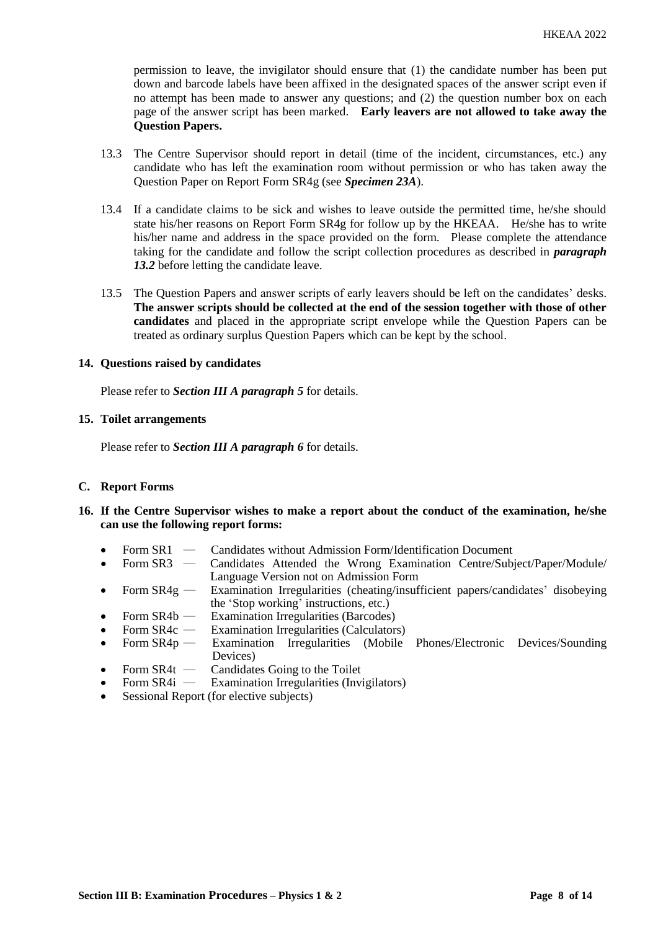permission to leave, the invigilator should ensure that (1) the candidate number has been put down and barcode labels have been affixed in the designated spaces of the answer script even if no attempt has been made to answer any questions; and (2) the question number box on each page of the answer script has been marked. **Early leavers are not allowed to take away the Question Papers.** 

- 13.3 The Centre Supervisor should report in detail (time of the incident, circumstances, etc.) any candidate who has left the examination room without permission or who has taken away the Question Paper on Report Form SR4g (see *Specimen 23A*).
- 13.4 If a candidate claims to be sick and wishes to leave outside the permitted time, he/she should state his/her reasons on Report Form SR4g for follow up by the HKEAA. He/she has to write his/her name and address in the space provided on the form. Please complete the attendance taking for the candidate and follow the script collection procedures as described in *paragraph*  13.2 before letting the candidate leave.
- 13.5 The Question Papers and answer scripts of early leavers should be left on the candidates' desks. **The answer scripts should be collected at the end of the session together with those of other candidates** and placed in the appropriate script envelope while the Question Papers can be treated as ordinary surplus Question Papers which can be kept by the school.

#### **14. Questions raised by candidates**

Please refer to *Section III A paragraph 5* for details.

#### **15. Toilet arrangements**

Please refer to *Section III A paragraph 6* for details.

# **C. Report Forms**

- **16. If the Centre Supervisor wishes to make a report about the conduct of the examination, he/she can use the following report forms:**
	- Form SR1 Candidates without Admission Form/Identification Document<br>• Form SR3 Candidates Attended the Wrong Examination Centre/Sub
	- Form SR3 Candidates Attended the Wrong Examination Centre/Subject/Paper/Module/ Language Version not on Admission Form
	- Form SR4g Examination Irregularities (cheating/insufficient papers/candidates' disobeying the 'Stop working' instructions, etc.)
	- Form SR4b Examination Irregularities (Barcodes)
	- Form  $SR4c$  Examination Irregularities (Calculators)
	- Form SR4p ― Examination Irregularities (Mobile Phones/Electronic Devices/Sounding Devices)
	- Form SR4t Candidates Going to the Toilet<br>Form SR4i Examination Irregularities (Invi
	- **Examination Irregularities (Invigilators)**
	- Sessional Report (for elective subjects)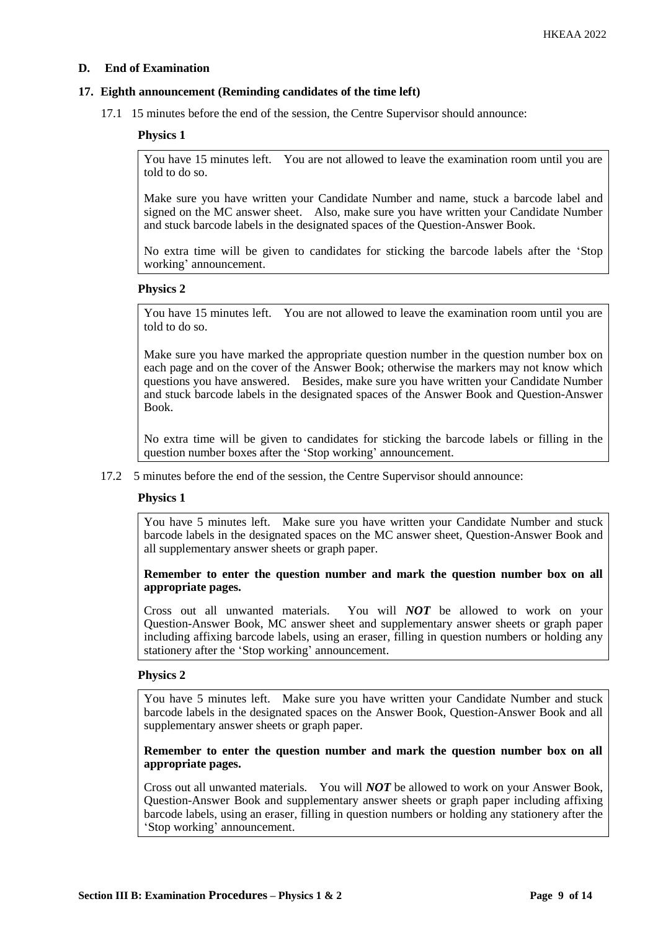### **D. End of Examination**

#### **17. Eighth announcement (Reminding candidates of the time left)**

17.1 15 minutes before the end of the session, the Centre Supervisor should announce:

#### **Physics 1**

You have 15 minutes left. You are not allowed to leave the examination room until you are told to do so.

Make sure you have written your Candidate Number and name, stuck a barcode label and signed on the MC answer sheet. Also, make sure you have written your Candidate Number and stuck barcode labels in the designated spaces of the Question-Answer Book.

No extra time will be given to candidates for sticking the barcode labels after the 'Stop working' announcement.

#### **Physics 2**

You have 15 minutes left. You are not allowed to leave the examination room until you are told to do so.

Make sure you have marked the appropriate question number in the question number box on each page and on the cover of the Answer Book; otherwise the markers may not know which questions you have answered. Besides, make sure you have written your Candidate Number and stuck barcode labels in the designated spaces of the Answer Book and Question-Answer Book.

No extra time will be given to candidates for sticking the barcode labels or filling in the question number boxes after the 'Stop working' announcement.

17.2 5 minutes before the end of the session, the Centre Supervisor should announce:

#### **Physics 1**

You have 5 minutes left. Make sure you have written your Candidate Number and stuck barcode labels in the designated spaces on the MC answer sheet, Question-Answer Book and all supplementary answer sheets or graph paper.

#### **Remember to enter the question number and mark the question number box on all appropriate pages.**

Cross out all unwanted materials. You will *NOT* be allowed to work on your Question-Answer Book, MC answer sheet and supplementary answer sheets or graph paper including affixing barcode labels, using an eraser, filling in question numbers or holding any stationery after the 'Stop working' announcement.

#### **Physics 2**

You have 5 minutes left. Make sure you have written your Candidate Number and stuck barcode labels in the designated spaces on the Answer Book, Question-Answer Book and all supplementary answer sheets or graph paper.

#### **Remember to enter the question number and mark the question number box on all appropriate pages.**

Cross out all unwanted materials. You will *NOT* be allowed to work on your Answer Book, Question-Answer Book and supplementary answer sheets or graph paper including affixing barcode labels, using an eraser, filling in question numbers or holding any stationery after the 'Stop working' announcement.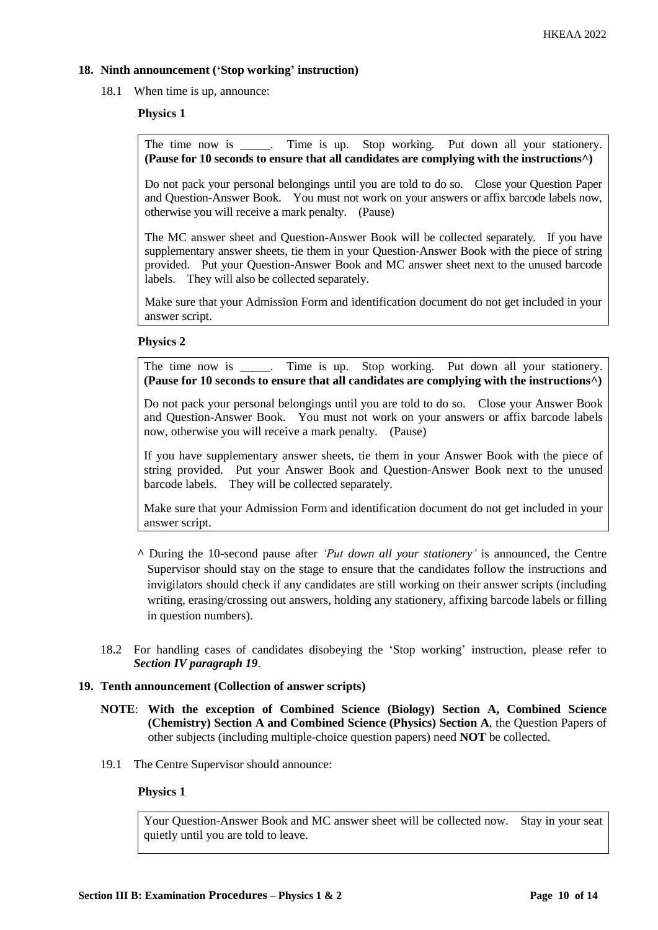# **18. Ninth announcement ('Stop working' instruction)**

18.1 When time is up, announce:

# **Physics 1**

The time now is \_\_\_\_\_. Time is up. Stop working. Put down all your stationery. **(Pause for 10 seconds to ensure that all candidates are complying with the instructions^)**

Do not pack your personal belongings until you are told to do so. Close your Question Paper and Question-Answer Book. You must not work on your answers or affix barcode labels now, otherwise you will receive a mark penalty. (Pause)

The MC answer sheet and Question-Answer Book will be collected separately. If you have supplementary answer sheets, tie them in your Question-Answer Book with the piece of string provided. Put your Question-Answer Book and MC answer sheet next to the unused barcode labels. They will also be collected separately.

Make sure that your Admission Form and identification document do not get included in your answer script.

#### **Physics 2**

The time now is \_\_\_\_\_. Time is up. Stop working. Put down all your stationery. **(Pause for 10 seconds to ensure that all candidates are complying with the instructions^)**

Do not pack your personal belongings until you are told to do so. Close your Answer Book and Question-Answer Book. You must not work on your answers or affix barcode labels now, otherwise you will receive a mark penalty. (Pause)

If you have supplementary answer sheets, tie them in your Answer Book with the piece of string provided. Put your Answer Book and Question-Answer Book next to the unused barcode labels. They will be collected separately.

Make sure that your Admission Form and identification document do not get included in your answer script.

- **^** During the 10-second pause after *'Put down all your stationery'* is announced, the Centre Supervisor should stay on the stage to ensure that the candidates follow the instructions and invigilators should check if any candidates are still working on their answer scripts (including writing, erasing/crossing out answers, holding any stationery, affixing barcode labels or filling in question numbers).
- 18.2 For handling cases of candidates disobeying the 'Stop working' instruction, please refer to *Section IV paragraph 19*.

# **19. Tenth announcement (Collection of answer scripts)**

- **NOTE**: **With the exception of Combined Science (Biology) Section A, Combined Science (Chemistry) Section A and Combined Science (Physics) Section A**, the Question Papers of other subjects (including multiple-choice question papers) need **NOT** be collected.
- 19.1 The Centre Supervisor should announce:

# **Physics 1**

Your Question-Answer Book and MC answer sheet will be collected now. Stay in your seat quietly until you are told to leave.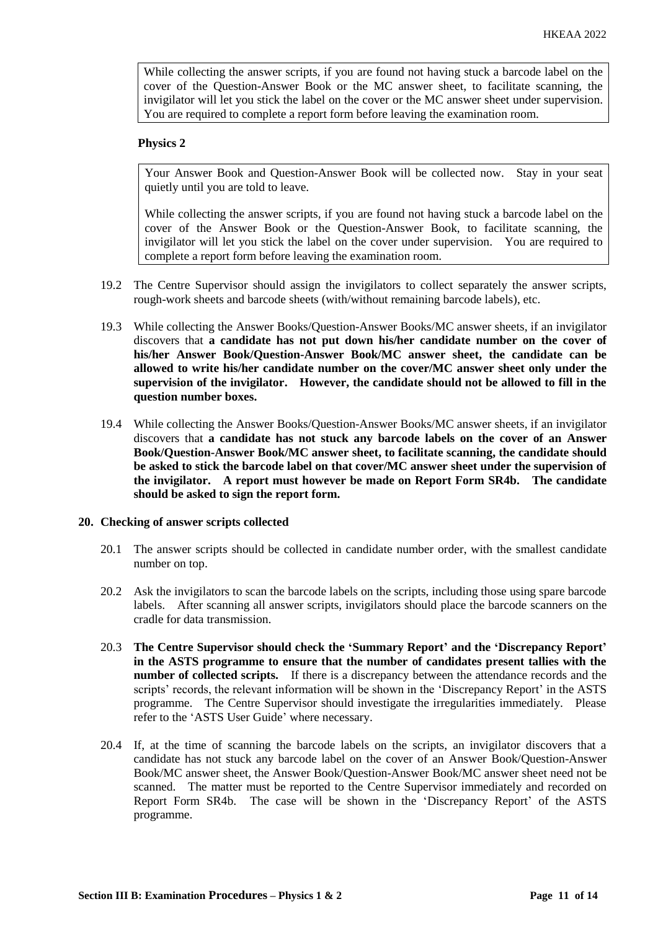While collecting the answer scripts, if you are found not having stuck a barcode label on the cover of the Question-Answer Book or the MC answer sheet, to facilitate scanning, the invigilator will let you stick the label on the cover or the MC answer sheet under supervision. You are required to complete a report form before leaving the examination room.

#### **Physics 2**

Your Answer Book and Question-Answer Book will be collected now. Stay in your seat quietly until you are told to leave.

While collecting the answer scripts, if you are found not having stuck a barcode label on the cover of the Answer Book or the Question-Answer Book, to facilitate scanning, the invigilator will let you stick the label on the cover under supervision. You are required to complete a report form before leaving the examination room.

- 19.2 The Centre Supervisor should assign the invigilators to collect separately the answer scripts, rough-work sheets and barcode sheets (with/without remaining barcode labels), etc.
- 19.3 While collecting the Answer Books/Question-Answer Books/MC answer sheets, if an invigilator discovers that **a candidate has not put down his/her candidate number on the cover of his/her Answer Book/Question-Answer Book/MC answer sheet, the candidate can be allowed to write his/her candidate number on the cover/MC answer sheet only under the supervision of the invigilator. However, the candidate should not be allowed to fill in the question number boxes.**
- 19.4 While collecting the Answer Books/Question-Answer Books/MC answer sheets, if an invigilator discovers that **a candidate has not stuck any barcode labels on the cover of an Answer Book/Question-Answer Book/MC answer sheet, to facilitate scanning, the candidate should be asked to stick the barcode label on that cover/MC answer sheet under the supervision of the invigilator. A report must however be made on Report Form SR4b. The candidate should be asked to sign the report form.**

#### **20. Checking of answer scripts collected**

- 20.1 The answer scripts should be collected in candidate number order, with the smallest candidate number on top.
- 20.2 Ask the invigilators to scan the barcode labels on the scripts, including those using spare barcode labels. After scanning all answer scripts, invigilators should place the barcode scanners on the cradle for data transmission.
- 20.3 **The Centre Supervisor should check the 'Summary Report' and the 'Discrepancy Report' in the ASTS programme to ensure that the number of candidates present tallies with the number of collected scripts.** If there is a discrepancy between the attendance records and the scripts' records, the relevant information will be shown in the 'Discrepancy Report' in the ASTS programme. The Centre Supervisor should investigate the irregularities immediately. Please refer to the 'ASTS User Guide' where necessary.
- 20.4 If, at the time of scanning the barcode labels on the scripts, an invigilator discovers that a candidate has not stuck any barcode label on the cover of an Answer Book/Question-Answer Book/MC answer sheet, the Answer Book/Question-Answer Book/MC answer sheet need not be scanned. The matter must be reported to the Centre Supervisor immediately and recorded on Report Form SR4b. The case will be shown in the 'Discrepancy Report' of the ASTS programme.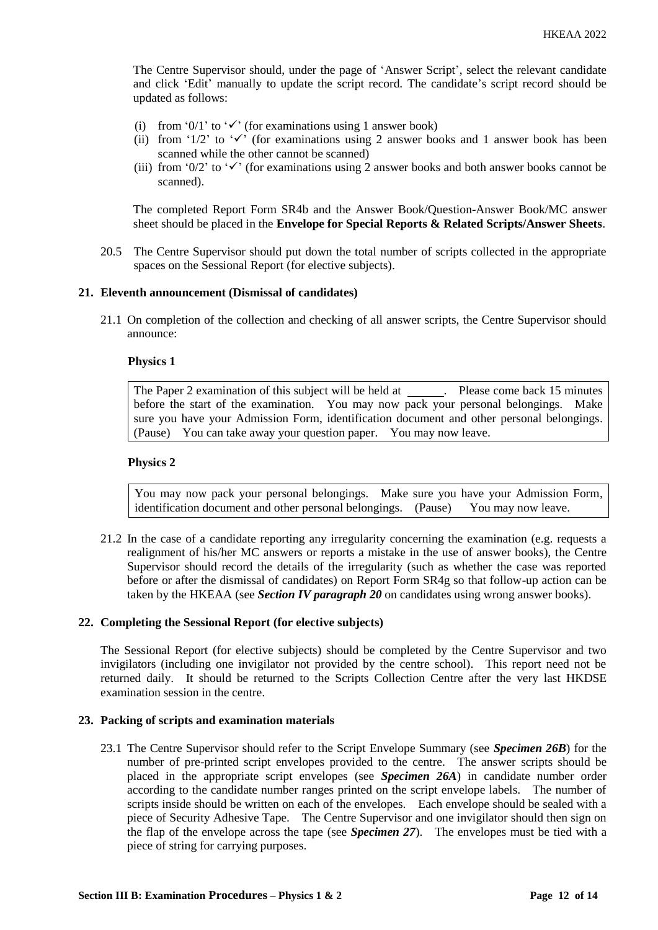The Centre Supervisor should, under the page of 'Answer Script', select the relevant candidate and click 'Edit' manually to update the script record. The candidate's script record should be updated as follows:

- (i) from '0/1' to ' $\checkmark$ ' (for examinations using 1 answer book)
- (ii) from '1/2' to ' $\checkmark$ ' (for examinations using 2 answer books and 1 answer book has been scanned while the other cannot be scanned)
- (iii) from '0/2' to ' $\checkmark$ ' (for examinations using 2 answer books and both answer books cannot be scanned).

The completed Report Form SR4b and the Answer Book/Question-Answer Book/MC answer sheet should be placed in the **Envelope for Special Reports & Related Scripts/Answer Sheets**.

20.5 The Centre Supervisor should put down the total number of scripts collected in the appropriate spaces on the Sessional Report (for elective subjects).

#### **21. Eleventh announcement (Dismissal of candidates)**

21.1 On completion of the collection and checking of all answer scripts, the Centre Supervisor should announce:

#### **Physics 1**

The Paper 2 examination of this subject will be held at \_\_\_\_\_\_. Please come back 15 minutes before the start of the examination. You may now pack your personal belongings. Make sure you have your Admission Form, identification document and other personal belongings. (Pause) You can take away your question paper. You may now leave.

#### **Physics 2**

You may now pack your personal belongings. Make sure you have your Admission Form, identification document and other personal belongings. (Pause) You may now leave.

21.2 In the case of a candidate reporting any irregularity concerning the examination (e.g. requests a realignment of his/her MC answers or reports a mistake in the use of answer books), the Centre Supervisor should record the details of the irregularity (such as whether the case was reported before or after the dismissal of candidates) on Report Form SR4g so that follow-up action can be taken by the HKEAA (see *Section IV paragraph 20* on candidates using wrong answer books).

# **22. Completing the Sessional Report (for elective subjects)**

The Sessional Report (for elective subjects) should be completed by the Centre Supervisor and two invigilators (including one invigilator not provided by the centre school). This report need not be returned daily. It should be returned to the Scripts Collection Centre after the very last HKDSE examination session in the centre.

#### **23. Packing of scripts and examination materials**

23.1 The Centre Supervisor should refer to the Script Envelope Summary (see *Specimen 26B*) for the number of pre-printed script envelopes provided to the centre. The answer scripts should be placed in the appropriate script envelopes (see *Specimen 26A*) in candidate number order according to the candidate number ranges printed on the script envelope labels. The number of scripts inside should be written on each of the envelopes. Each envelope should be sealed with a piece of Security Adhesive Tape. The Centre Supervisor and one invigilator should then sign on the flap of the envelope across the tape (see *Specimen 27*). The envelopes must be tied with a piece of string for carrying purposes.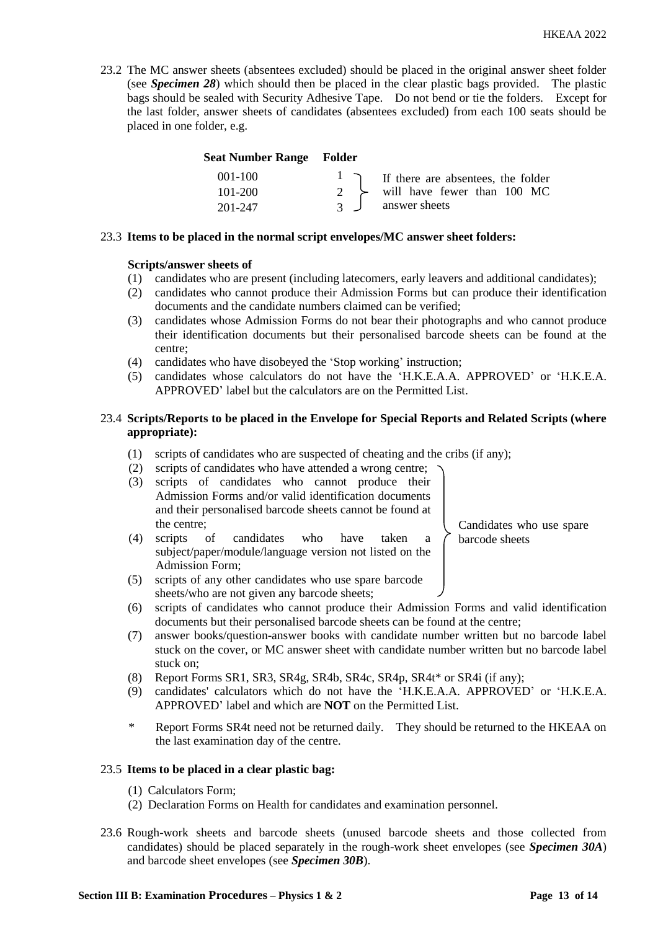23.2 The MC answer sheets (absentees excluded) should be placed in the original answer sheet folder (see *Specimen 28*) which should then be placed in the clear plastic bags provided. The plastic bags should be sealed with Security Adhesive Tape. Do not bend or tie the folders. Except for the last folder, answer sheets of candidates (absentees excluded) from each 100 seats should be placed in one folder, e.g.

| <b>Seat Number Range Folder</b> |                |                                                                           |
|---------------------------------|----------------|---------------------------------------------------------------------------|
| $001 - 100$                     |                | $\begin{bmatrix} 1 \\ 7 \end{bmatrix}$ If there are absentees, the folder |
| $101 - 200$                     |                | 2 $\rightarrow$ will have fewer than 100 MC                               |
| 201-247                         | $\overline{3}$ | answer sheets                                                             |

#### 23.3 **Items to be placed in the normal script envelopes/MC answer sheet folders:**

#### **Scripts/answer sheets of**

- (1) candidates who are present (including latecomers, early leavers and additional candidates);
- (2) candidates who cannot produce their Admission Forms but can produce their identification documents and the candidate numbers claimed can be verified;
- (3) candidates whose Admission Forms do not bear their photographs and who cannot produce their identification documents but their personalised barcode sheets can be found at the centre;
- (4) candidates who have disobeyed the 'Stop working' instruction;
- (5) candidates whose calculators do not have the 'H.K.E.A.A. APPROVED' or 'H.K.E.A. APPROVED' label but the calculators are on the Permitted List.

# 23.4 **Scripts/Reports to be placed in the Envelope for Special Reports and Related Scripts (where appropriate):**

- (1) scripts of candidates who are suspected of cheating and the cribs (if any);
- (2) scripts of candidates who have attended a wrong centre;
- (3) scripts of candidates who cannot produce their Admission Forms and/or valid identification documents and their personalised barcode sheets cannot be found at the centre;
- (4) scripts of candidates who have taken a subject/paper/module/language version not listed on the Admission Form; (5) scripts of any other candidates who use spare barcode

Candidates who use spare barcode sheets

- sheets/who are not given any barcode sheets; (6) scripts of candidates who cannot produce their Admission Forms and valid identification documents but their personalised barcode sheets can be found at the centre;
- (7) answer books/question-answer books with candidate number written but no barcode label stuck on the cover, or MC answer sheet with candidate number written but no barcode label stuck on;
- (8) Report Forms SR1, SR3, SR4g, SR4b, SR4c, SR4p, SR4t\* or SR4i (if any);
- (9) candidates' calculators which do not have the 'H.K.E.A.A. APPROVED' or 'H.K.E.A. APPROVED' label and which are **NOT** on the Permitted List.
- \* Report Forms SR4t need not be returned daily. They should be returned to the HKEAA on the last examination day of the centre.

#### 23.5 **Items to be placed in a clear plastic bag:**

- (1) Calculators Form;
- (2) Declaration Forms on Health for candidates and examination personnel.
- 23.6 Rough-work sheets and barcode sheets (unused barcode sheets and those collected from candidates) should be placed separately in the rough-work sheet envelopes (see *Specimen 30A*) and barcode sheet envelopes (see *Specimen 30B*).